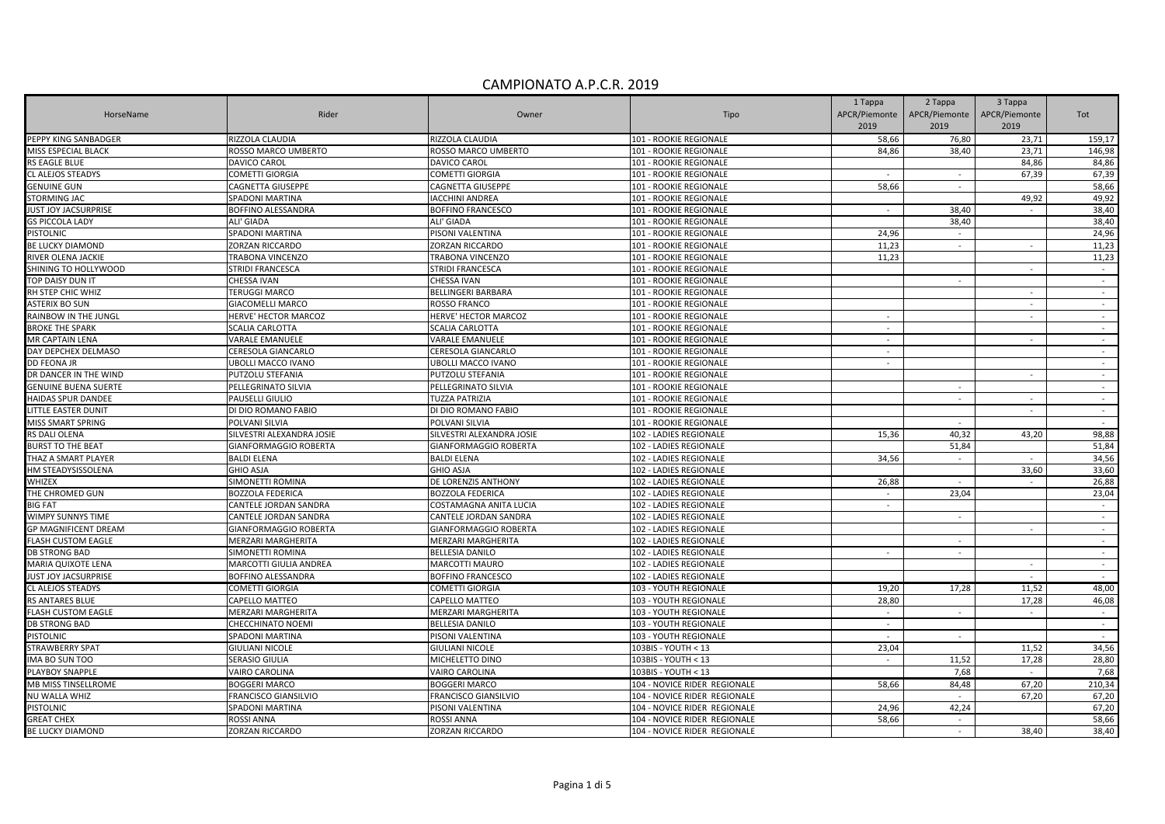| HorseName                   | Rider                     | Owner                        | Tipo                         | 1 Tappa<br>APCR/Piemonte | 2 Tappa<br>APCR/Piemonte    | 3 Tappa<br>APCR/Piemonte | Tot        |
|-----------------------------|---------------------------|------------------------------|------------------------------|--------------------------|-----------------------------|--------------------------|------------|
|                             |                           |                              |                              | 2019                     | 2019                        | 2019                     |            |
| PEPPY KING SANBADGER        | RIZZOLA CLAUDIA           | RIZZOLA CLAUDIA              | 101 - ROOKIE REGIONALE       | 58,66                    | 76,80                       | 23,71                    | 159,17     |
| <b>MISS ESPECIAL BLACK</b>  | ROSSO MARCO UMBERTO       | ROSSO MARCO UMBERTO          | 101 - ROOKIE REGIONALE       | 84,86                    | 38,40                       | 23,71                    | 146,98     |
| RS EAGLE BLUE               | DAVICO CAROL              | DAVICO CAROL                 | 101 - ROOKIE REGIONALE       |                          |                             | 84,86                    | 84,86      |
| CL ALEJOS STEADYS           | <b>COMETTI GIORGIA</b>    | COMETTI GIORGIA              | 101 - ROOKIE REGIONALE       |                          |                             | 67,39                    | 67,39      |
| <b>GENUINE GUN</b>          | CAGNETTA GIUSEPPE         | CAGNETTA GIUSEPPE            | 101 - ROOKIE REGIONALE       | 58,66                    | $\sim$                      |                          | 58,66      |
| <b>STORMING JAC</b>         | SPADONI MARTINA           | <b>IACCHINI ANDREA</b>       | 101 - ROOKIE REGIONALE       |                          |                             | 49,92                    | 49,92      |
| JUST JOY JACSURPRISE        | BOFFINO ALESSANDRA        | <b>BOFFINO FRANCESCO</b>     | 101 - ROOKIE REGIONALE       |                          | 38,40                       |                          | 38,40      |
| <b>GS PICCOLA LADY</b>      | ALI' GIADA                | ALI' GIADA                   | 101 - ROOKIE REGIONALE       |                          | 38,40                       |                          | 38,40      |
| PISTOLNIC                   | SPADONI MARTINA           | PISONI VALENTINA             | 101 - ROOKIE REGIONALE       | 24,96                    | $\sim$                      |                          | 24,96      |
| BE LUCKY DIAMOND            | ZORZAN RICCARDO           | ZORZAN RICCARDO              | 101 - ROOKIE REGIONALE       | 11,23                    | $\sim$                      | $\sim$                   | 11,23      |
| RIVER OLENA JACKIE          | TRABONA VINCENZO          | <b>TRABONA VINCENZO</b>      | 101 - ROOKIE REGIONALE       | 11,23                    |                             |                          | 11,23      |
| SHINING TO HOLLYWOOD        | <b>STRIDI FRANCESCA</b>   | STRIDI FRANCESCA             | 101 - ROOKIE REGIONALE       |                          |                             |                          | $\sim$     |
| TOP DAISY DUN IT            | CHESSA IVAN               | CHESSA IVAN                  | 101 - ROOKIE REGIONALE       |                          | $\sim$                      |                          | $\sim$     |
| RH STEP CHIC WHIZ           | <b>TERUGGI MARCO</b>      | BELLINGERI BARBARA           | 101 - ROOKIE REGIONALE       |                          |                             |                          | $\sim$     |
| <b>ASTERIX BO SUN</b>       | <b>GIACOMELLI MARCO</b>   | ROSSO FRANCO                 | 101 - ROOKIE REGIONALE       |                          |                             |                          | $\sim$     |
| RAINBOW IN THE JUNGL        | HERVE' HECTOR MARCOZ      | HERVE' HECTOR MARCOZ         | 101 - ROOKIE REGIONALE       | $\sim$                   |                             |                          | $\sim$     |
| <b>BROKE THE SPARK</b>      | SCALIA CARLOTTA           | SCALIA CARLOTTA              | 101 - ROOKIE REGIONALE       | $\sim$                   |                             |                          | $\sim$     |
| <b>MR CAPTAIN LENA</b>      | <b>VARALE EMANUELE</b>    | VARALE EMANUELE              | 101 - ROOKIE REGIONALE       | $\sim$                   |                             | $\sim$                   | $\sim$     |
| DAY DEPCHEX DELMASO         | CERESOLA GIANCARLO        | CERESOLA GIANCARLO           | 101 - ROOKIE REGIONALE       | $\sim$                   |                             |                          | $\sim$     |
| DD FEONA JR                 | <b>UBOLLI MACCO IVANO</b> | UBOLLI MACCO IVANO           | 101 - ROOKIE REGIONALE       | $\sim$                   |                             |                          | $\sim$     |
| DR DANCER IN THE WIND       | PUTZOLU STEFANIA          | PUTZOLU STEFANIA             | 101 - ROOKIE REGIONALE       |                          |                             | $\sim$                   | $\sim$     |
| <b>GENUINE BUENA SUERTE</b> | PELLEGRINATO SILVIA       | PELLEGRINATO SILVIA          | 101 - ROOKIE REGIONALE       |                          | $\sim$                      |                          | $\sim$     |
| HAIDAS SPUR DANDEE          | PAUSELLI GIULIO           | <b>TUZZA PATRIZIA</b>        | 101 - ROOKIE REGIONALE       |                          | $\frac{1}{2}$               |                          | $\omega$   |
| LITTLE EASTER DUNIT         | DI DIO ROMANO FABIO       | DI DIO ROMANO FABIO          | 101 - ROOKIE REGIONALE       |                          |                             | $\sim$                   | $\sim$     |
| <b>MISS SMART SPRING</b>    | POLVANI SILVIA            | POLVANI SILVIA               | 101 - ROOKIE REGIONALE       |                          |                             |                          | $\sim$     |
| RS DALI OLENA               | SILVESTRI ALEXANDRA JOSIE | SILVESTRI ALEXANDRA JOSIE    | 102 - LADIES REGIONALE       | 15,36                    | 40,32                       | 43,20                    | 98,88      |
| <b>BURST TO THE BEAT</b>    | GIANFORMAGGIO ROBERTA     | GIANFORMAGGIO ROBERTA        | 102 - LADIES REGIONALE       |                          | 51,84                       |                          | 51,84      |
| THAZ A SMART PLAYER         | <b>BALDI ELENA</b>        | <b>BALDI ELENA</b>           | 102 - LADIES REGIONALE       | 34.56                    | $\sim$                      |                          | 34,56      |
| HM STEADYSISSOLENA          | <b>GHIO ASJA</b>          | <b>GHIO ASJA</b>             | 102 - LADIES REGIONALE       |                          |                             | 33,60                    | 33,60      |
| WHIZEX                      | SIMONETTI ROMINA          | DE LORENZIS ANTHONY          | 102 - LADIES REGIONALE       | 26,88                    | $\sim$                      |                          | 26,88      |
| THE CHROMED GUN             | <b>BOZZOLA FEDERICA</b>   | <b>BOZZOLA FEDERICA</b>      | 102 - LADIES REGIONALE       | $\sim$                   | 23,04                       |                          | 23,04      |
| <b>BIG FAT</b>              | CANTELE JORDAN SANDRA     | COSTAMAGNA ANITA LUCIA       | 102 - LADIES REGIONALE       | $\sim$                   |                             |                          | $\sim$     |
| WIMPY SUNNYS TIME           | CANTELE JORDAN SANDRA     | CANTELE JORDAN SANDRA        | 102 - LADIES REGIONALE       |                          | $\sim$                      |                          | $\sim$     |
| <b>GP MAGNIFICENT DREAM</b> | GIANFORMAGGIO ROBERTA     | <b>GIANFORMAGGIO ROBERTA</b> | 102 - LADIES REGIONALE       |                          |                             |                          | $\sim$     |
| <b>ELASH CUSTOM EAGLE</b>   | <b>MERZARI MARGHERITA</b> | MERZARI MARGHERITA           | 102 - LADIES REGIONALE       |                          | $\sim$                      |                          | $\sim$     |
| DB STRONG BAD               | SIMONETTI ROMINA          | <b>BELLESIA DANILO</b>       | 102 - LADIES REGIONALE       |                          | $\mathcal{L}^{\mathcal{A}}$ |                          | $\sim$     |
| <b>MARIA QUIXOTE LENA</b>   | MARCOTTI GIULIA ANDREA    | MARCOTTI MAURO               | 102 - LADIES REGIONALE       |                          |                             | $\sim$                   | $\sim$     |
| <b>IUST JOY JACSURPRISE</b> | BOFFINO ALESSANDRA        | <b>BOFFINO FRANCESCO</b>     | 102 - LADIES REGIONALE       |                          |                             | $\sim$                   | $\sim$     |
| CL ALEJOS STEADYS           | <b>COMETTI GIORGIA</b>    | <b>COMETTI GIORGIA</b>       | 103 - YOUTH REGIONALE        | 19,20                    | 17,28                       | 11,52                    | 48,00      |
| RS ANTARES BLUE             | CAPELLO MATTEO            | CAPELLO MATTEO               | 103 - YOUTH REGIONALE        | 28,80                    |                             | 17,28                    | 46,08      |
| <b>FLASH CUSTOM EAGLE</b>   | MERZARI MARGHERITA        | <b>MERZARI MARGHERITA</b>    | 103 - YOUTH REGIONALE        | $\sim$                   | $\sim$                      | $\sim$                   | $\sim$     |
| DB STRONG BAD               | CHECCHINATO NOEMI         | <b>BELLESIA DANILO</b>       | 103 - YOUTH REGIONALE        | $\sim$                   |                             |                          | $\sim$ $-$ |
| PISTOLNIC                   | SPADONI MARTINA           | PISONI VALENTINA             | 103 - YOUTH REGIONALE        | $\sim$                   |                             |                          | $\sim$     |
| STRAWBERRY SPAT             | <b>GIULIANI NICOLE</b>    | <b>GIULIANI NICOLE</b>       | 103BIS - YOUTH < 13          | 23,04                    |                             | 11,52                    | 34,56      |
| IMA BO SUN TOO              | <b>SERASIO GIULIA</b>     | MICHELETTO DINO              | 103BIS - YOUTH < 13          |                          | 11,52                       | 17,28                    | 28,80      |
| PLAYBOY SNAPPLE             | VAIRO CAROLINA            | VAIRO CAROLINA               | 103BIS - YOUTH < 13          |                          | 7.68                        |                          | 7,68       |
| MB MISS TINSELLROME         | <b>BOGGERI MARCO</b>      | <b>BOGGERI MARCO</b>         | 104 - NOVICE RIDER REGIONALE | 58,66                    | 84,48                       | 67,20                    | 210,34     |
| NU WALLA WHIZ               | FRANCISCO GIANSILVIO      | FRANCISCO GIANSILVIO         | 104 - NOVICE RIDER REGIONALE |                          |                             | 67,20                    | 67,20      |
| PISTOLNIC                   | SPADONI MARTINA           | PISONI VALENTINA             | 104 - NOVICE RIDER REGIONALE | 24,96                    | 42,24                       |                          | 67,20      |
| <b>GREAT CHEX</b>           | ROSSI ANNA                | <b>ROSSI ANNA</b>            | 104 - NOVICE RIDER REGIONALE | 58,66                    | $\sim$                      |                          | 58,66      |
| BE LUCKY DIAMOND            | <b>ZORZAN RICCARDO</b>    | <b>ZORZAN RICCARDO</b>       | 104 - NOVICE RIDER REGIONALE |                          | $\sim$                      | 38,40                    | 38,40      |
|                             |                           |                              |                              |                          |                             |                          |            |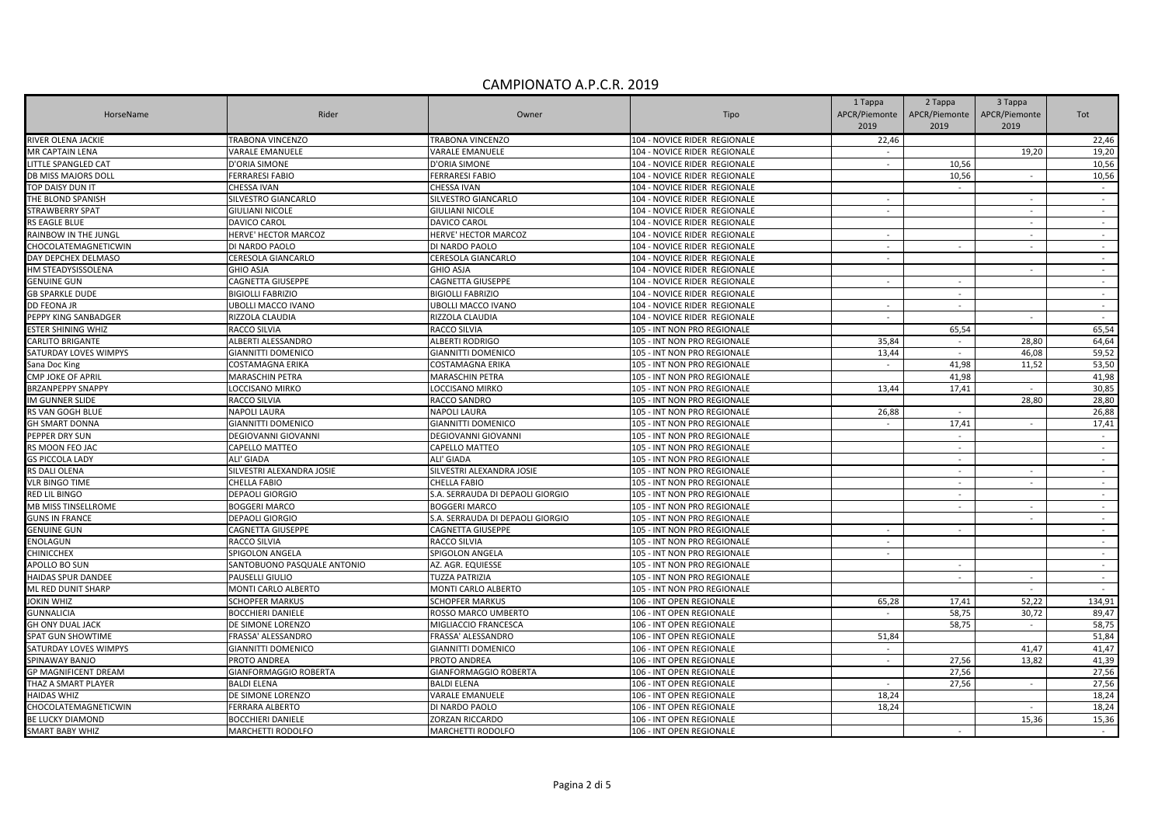|                             |                             |                                  |                              | 1 Tappa       | 2 Tappa                  | 3 Tappa       |            |
|-----------------------------|-----------------------------|----------------------------------|------------------------------|---------------|--------------------------|---------------|------------|
| HorseName                   | Rider                       | Owner                            | Tipo                         | APCR/Piemonte | APCR/Piemonte            | APCR/Piemonte | Tot        |
|                             |                             |                                  |                              | 2019          | 2019                     | 2019          |            |
| RIVER OLENA JACKIE          | TRABONA VINCENZO            | TRABONA VINCENZO                 | 104 - NOVICE RIDER REGIONALE | 22,46         |                          |               | 22,46      |
| <b>MR CAPTAIN LENA</b>      | VARALE EMANUELE             | VARALE EMANUELE                  | 104 - NOVICE RIDER REGIONALE | $\sim$        |                          | 19,20         | 19,20      |
| LITTLE SPANGLED CAT         | D'ORIA SIMONE               | D'ORIA SIMONE                    | 104 - NOVICE RIDER REGIONALE | $\sim$        | 10.56                    |               | 10,56      |
| DB MISS MAJORS DOLL         | <b>FERRARESI FABIO</b>      | FERRARESI FABIO                  | 104 - NOVICE RIDER REGIONALE |               | 10,56                    | $\sim$        | 10,56      |
| TOP DAISY DUN IT            | CHESSA IVAN                 | CHESSA IVAN                      | 104 - NOVICE RIDER REGIONALE |               |                          |               | $\sim$     |
| THE BLOND SPANISH           | SILVESTRO GIANCARLO         | SILVESTRO GIANCARLO              | 104 - NOVICE RIDER REGIONALE | $\sim$        |                          | $\sim$        | $\sim$     |
| STRAWBERRY SPAT             | GIULIANI NICOLE             | GIULIANI NICOLE                  | 104 - NOVICE RIDER REGIONALE | $\sim$        |                          |               | $\sim$     |
| RS EAGLE BLUE               | DAVICO CAROL                | DAVICO CAROL                     | 104 - NOVICE RIDER REGIONALE |               |                          | $\sim$        | $\sim$     |
| RAINBOW IN THE JUNGL        | HERVE' HECTOR MARCOZ        | HERVE' HECTOR MARCOZ             | 104 - NOVICE RIDER REGIONALE | $\sim$        |                          |               | $\sim$     |
| CHOCOLATEMAGNETICWIN        | DI NARDO PAOLO              | DI NARDO PAOLO                   | 104 - NOVICE RIDER REGIONALE | $\sim$        | $\sim$                   | $\sim$        | $\sim$     |
| DAY DEPCHEX DELMASO         | CERESOLA GIANCARLO          | CERESOLA GIANCARLO               | 104 - NOVICE RIDER REGIONALE | $\sim$        |                          |               | $\sim$     |
| HM STEADYSISSOLENA          | <b>GHIO ASJA</b>            | <b>GHIO ASJA</b>                 | 104 - NOVICE RIDER REGIONALE |               |                          |               | $\sim$     |
| <b>GENUINE GUN</b>          | CAGNETTA GIUSEPPE           | CAGNETTA GIUSEPPE                | 104 - NOVICE RIDER REGIONALE | $\sim$        | $\sim$                   |               | $\sim$     |
| <b>GB SPARKLE DUDE</b>      | <b>BIGIOLLI FABRIZIO</b>    | <b>BIGIOLLI FABRIZIO</b>         | 104 - NOVICE RIDER REGIONALE |               | $\sim$                   |               | $\sim$     |
| DD FEONA JR                 | UBOLLI MACCO IVANO          | <b>JBOLLI MACCO IVANO</b>        | 104 - NOVICE RIDER REGIONALE | $\sim$        | $\sim$                   |               | $\sim$     |
| PEPPY KING SANBADGER        | RIZZOLA CLAUDIA             | RIZZOLA CLAUDIA                  | 104 - NOVICE RIDER REGIONALE |               |                          |               | $\sim$     |
| ESTER SHINING WHIZ          | RACCO SILVIA                | RACCO SILVIA                     | 105 - INT NON PRO REGIONALE  |               | 65,54                    |               | 65,54      |
| CARLITO BRIGANTE            | ALBERTI ALESSANDRO          | ALBERTI RODRIGO                  | 105 - INT NON PRO REGIONALE  | 35,84         | $\sim$                   | 28,80         | 64,64      |
| SATURDAY LOVES WIMPYS       | <b>GIANNITTI DOMENICO</b>   | GIANNITTI DOMENICO               | 105 - INT NON PRO REGIONALE  | 13,44         | $\sim$                   | 46,08         | 59,52      |
| Sana Doc King               | COSTAMAGNA ERIKA            | COSTAMAGNA ERIKA                 | 105 - INT NON PRO REGIONALE  |               | 41,98                    | 11,52         | 53,50      |
| CMP JOKE OF APRIL           | MARASCHIN PETRA             | <b>MARASCHIN PETRA</b>           | 105 - INT NON PRO REGIONALE  |               | 41,98                    |               | 41,98      |
| <b>BRZANPEPPY SNAPPY</b>    | LOCCISANO MIRKO             | LOCCISANO MIRKO                  | 105 - INT NON PRO REGIONALE  | 13,44         | 17,41                    | $\sim$        | 30,85      |
| IM GUNNER SLIDE             | RACCO SILVIA                | RACCO SANDRO                     | 105 - INT NON PRO REGIONALE  |               |                          | 28,80         | 28,80      |
| RS VAN GOGH BLUE            | NAPOLI LAURA                | NAPOLI LAURA                     | 105 - INT NON PRO REGIONALE  | 26,88         | $\sim$                   |               | 26,88      |
| <b>GH SMART DONNA</b>       | GIANNITTI DOMENICO          | GIANNITTI DOMENICO               | 105 - INT NON PRO REGIONALE  | $\sim$        | 17,41                    | $\sim$        | 17,41      |
| PEPPER DRY SUN              | <b>DEGIOVANNI GIOVANNI</b>  | DEGIOVANNI GIOVANNI              | 105 - INT NON PRO REGIONALE  |               | $\sim$                   |               | $\sim$     |
| RS MOON FEO JAC             | CAPELLO MATTEO              | CAPELLO MATTEO                   | 105 - INT NON PRO REGIONALE  |               | $\sim$                   |               | $\sim$     |
| <b>GS PICCOLA LADY</b>      | ALI' GIADA                  | ALI' GIADA                       | 105 - INT NON PRO REGIONALE  |               | $\sim$                   |               | $\sim$     |
| RS DALI OLENA               | SILVESTRI ALEXANDRA JOSIE   | SILVESTRI ALEXANDRA JOSIE        | 105 - INT NON PRO REGIONALE  |               | $\sim$                   |               | $\sim$     |
| <b>VLR BINGO TIME</b>       | CHELLA FABIO                | CHELLA FABIO                     | 105 - INT NON PRO REGIONALE  |               | $\sim$                   |               | $\sim$     |
| RED LIL BINGO               | DEPAOLI GIORGIO             | S.A. SERRAUDA DI DEPAOLI GIORGIO | 105 - INT NON PRO REGIONALE  |               | $\sim$                   |               | $\sim$     |
| MB MISS TINSELLROME         | <b>BOGGERI MARCO</b>        | BOGGERI MARCO                    | 105 - INT NON PRO REGIONALE  |               | $\sim$                   |               | $\sim$     |
| <b>GUNS IN FRANCE</b>       | DEPAOLI GIORGIO             | S.A. SERRAUDA DI DEPAOLI GIORGIO | 105 - INT NON PRO REGIONALE  |               |                          | $\sim$        | $\sim$ $-$ |
| <b>GENUINE GUN</b>          | CAGNETTA GIUSEPPE           | CAGNETTA GIUSEPPE                | 105 - INT NON PRO REGIONALE  |               | $\sim$                   |               | $\sim$     |
| ENOLAGUN                    | RACCO SILVIA                | RACCO SILVIA                     | 105 - INT NON PRO REGIONALE  | $\sim$        |                          |               | $\sim$     |
| <b>CHINICCHEX</b>           | SPIGOLON ANGELA             | SPIGOLON ANGELA                  | 105 - INT NON PRO REGIONALE  | $\sim$        |                          |               | $\sim$     |
| APOLLO BO SUN               | SANTOBUONO PASQUALE ANTONIO | AZ. AGR. EQUIESSE                | 105 - INT NON PRO REGIONALE  |               |                          |               | $\sim$     |
| HAIDAS SPUR DANDEE          | PAUSELLI GIULIO             | TUZZA PATRIZIA                   | 105 - INT NON PRO REGIONALE  |               | $\sim$                   |               | $\sim$     |
| ML RED DUNIT SHARP          | MONTI CARLO ALBERTO         | MONTI CARLO ALBERTO              | 105 - INT NON PRO REGIONALE  |               |                          | $\sim$        | $\sim$ $-$ |
| <b>OKIN WHIZ</b>            | <b>SCHOPFER MARKUS</b>      | <b>SCHOPFER MARKUS</b>           | 106 - INT OPEN REGIONALE     | 65,28         | 17,41                    | 52,22         | 134,91     |
| <b>GUNNALICIA</b>           | BOCCHIERI DANIELE           | ROSSO MARCO UMBERTO              | 106 - INT OPEN REGIONALE     | $\sim$        | 58,75                    | 30,72         | 89,47      |
| <b>GH ONY DUAL JACK</b>     | DE SIMONE LORENZO           | MIGLIACCIO FRANCESCA             | 106 - INT OPEN REGIONALE     |               | 58,75                    |               | 58,75      |
| SPAT GUN SHOWTIME           | FRASSA' ALESSANDRO          | FRASSA' ALESSANDRO               | 106 - INT OPEN REGIONALE     | 51.84         |                          |               | 51,84      |
| SATURDAY LOVES WIMPYS       | GIANNITTI DOMENICO          | GIANNITTI DOMENICO               | 106 - INT OPEN REGIONALE     | $\sim$        |                          | 41,47         | 41,47      |
| SPINAWAY BANJO              | PROTO ANDREA                | PROTO ANDREA                     | 106 - INT OPEN REGIONALE     |               | 27,56                    | 13,82         | 41,39      |
| <b>GP MAGNIFICENT DREAM</b> | GIANFORMAGGIO ROBERTA       | <b>GIANFORMAGGIO ROBERTA</b>     | 106 - INT OPEN REGIONALE     |               | 27,56                    |               | 27,56      |
| THAZ A SMART PLAYER         | <b>BALDI ELENA</b>          | <b>BALDI ELENA</b>               | 106 - INT OPEN REGIONALE     | $\sim$        | 27,56                    | $\sim$        | 27,56      |
| <b>HAIDAS WHIZ</b>          | DE SIMONE LORENZO           | VARALE EMANUELE                  | 106 - INT OPEN REGIONALE     | 18.24         |                          |               | 18,24      |
| CHOCOLATEMAGNETICWIN        | FERRARA ALBERTO             | DI NARDO PAOLO                   | 106 - INT OPEN REGIONALE     | 18,24         |                          |               | 18,24      |
| <b>BE LUCKY DIAMOND</b>     | <b>BOCCHIERI DANIELE</b>    | ZORZAN RICCARDO                  | 106 - INT OPEN REGIONALE     |               |                          | 15.36         | 15,36      |
| <b>SMART BABY WHIZ</b>      | MARCHETTI RODOLFO           | MARCHETTI RODOLFO                | 106 - INT OPEN REGIONALE     |               | $\overline{\phantom{0}}$ |               | $\sim$     |
|                             |                             |                                  |                              |               |                          |               |            |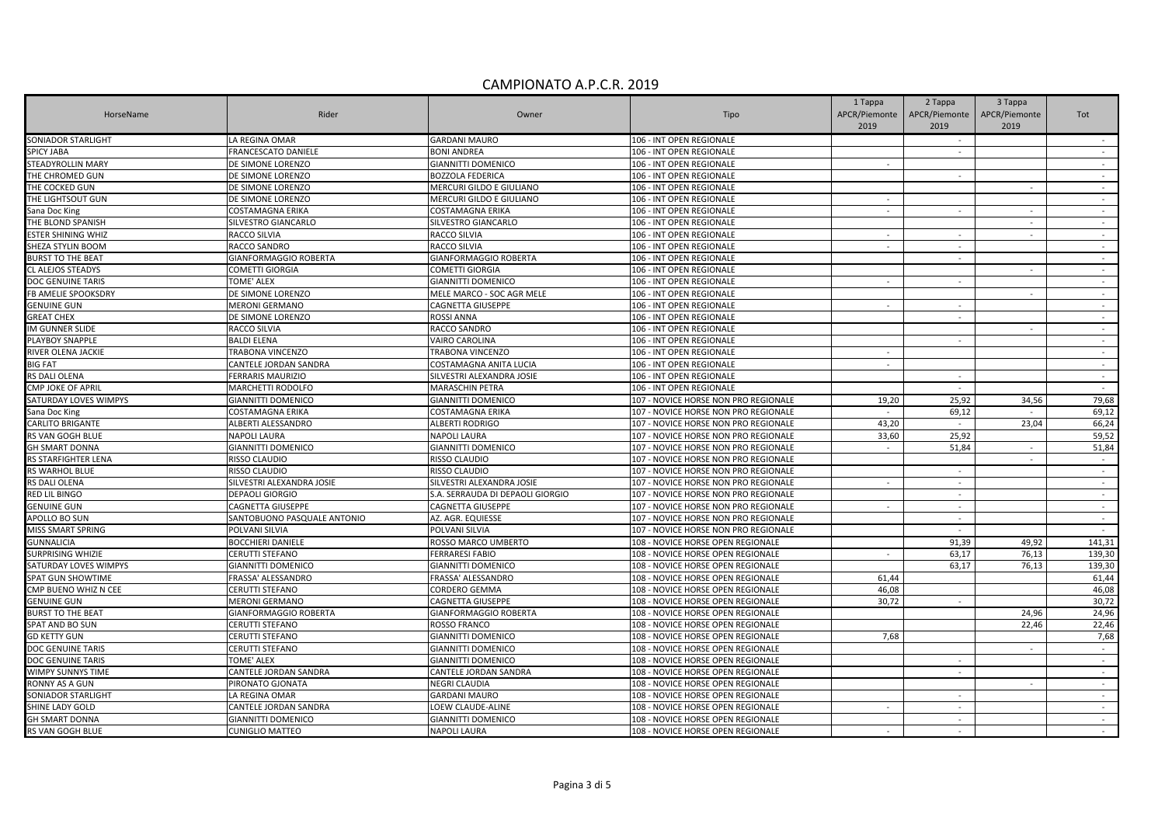| HorseName                             |                                |                                  |                                                                              | 1 Tappa        | 2 Tappa          | 3 Tappa       |                  |
|---------------------------------------|--------------------------------|----------------------------------|------------------------------------------------------------------------------|----------------|------------------|---------------|------------------|
|                                       | Rider                          | Owner                            | Tipo                                                                         | APCR/Piemonte  | APCR/Piemonte    | APCR/Piemonte | Tot              |
|                                       |                                |                                  |                                                                              | 2019           | 2019             | 2019          |                  |
| <b>SONIADOR STARLIGHT</b>             | LA REGINA OMAR                 | <b>GARDANI MAURO</b>             | 106 - INT OPEN REGIONALE                                                     |                | $\sim$           |               |                  |
| <b>SPICY JABA</b>                     | FRANCESCATO DANIELE            | <b>BONI ANDREA</b>               | 106 - INT OPEN REGIONALE                                                     |                | $\sim$           |               | $\sim$           |
| STEADYROLLIN MARY                     | DE SIMONE LORENZO              | GIANNITTI DOMENICO               | 106 - INT OPEN REGIONALE                                                     | $\sim$         |                  |               | $\sim$           |
| THE CHROMED GUN                       | DE SIMONE LORENZO              | <b>BOZZOLA FEDERICA</b>          | 106 - INT OPEN REGIONALE                                                     |                | $\sim$           |               | $\sim$           |
| THE COCKED GUN                        | DE SIMONE LORENZO              | MERCURI GILDO E GIULIANO         | 106 - INT OPEN REGIONALE                                                     |                |                  |               | $\sim$           |
| THE LIGHTSOUT GUN                     | DE SIMONE LORENZO              | MERCURI GILDO E GIULIANO         | 106 - INT OPEN REGIONALE                                                     | $\sim$         |                  |               | $\sim$           |
| Sana Doc King                         | <b>COSTAMAGNA ERIKA</b>        | COSTAMAGNA ERIKA                 | 106 - INT OPEN REGIONALE                                                     | $\mathbb{Z}^2$ | $\sim$           |               | $\sim$           |
| THE BLOND SPANISH                     | SILVESTRO GIANCARLO            | SILVESTRO GIANCARLO              | 106 - INT OPEN REGIONALE                                                     |                |                  | $\sim$        | $\sim$           |
| <b>ESTER SHINING WHIZ</b>             | RACCO SILVIA                   | <b>RACCO SILVIA</b>              | 106 - INT OPEN REGIONALE                                                     | $\sim$         | $\sim$           |               | $\sim$           |
| SHEZA STYLIN BOOM                     | RACCO SANDRO                   | <b>RACCO SILVIA</b>              | 106 - INT OPEN REGIONALE                                                     | $\sim$         | $\sim$           |               | $\sim$           |
| <b>BURST TO THE BEAT</b>              | GIANFORMAGGIO ROBERTA          | GIANFORMAGGIO ROBERTA            | 106 - INT OPEN REGIONALE                                                     |                | $\sim$           |               | $\sim$           |
| CL ALEJOS STEADYS                     | COMETTI GIORGIA                | COMETTI GIORGIA                  | 106 - INT OPEN REGIONALE                                                     |                |                  |               | $\sim$           |
| DOC GENUINE TARIS                     | TOME' ALEX                     | <b>GIANNITTI DOMENICO</b>        | 106 - INT OPEN REGIONALE                                                     |                | $\sim$           |               | $\sim$           |
| FB AMELIE SPOOKSDRY                   | DE SIMONE LORENZO              | MELE MARCO - SOC AGR MELE        | 106 - INT OPEN REGIONALE                                                     |                |                  | $\sim$        | $\sim$           |
| <b>GENUINE GUN</b>                    | MERONI GERMANO                 | CAGNETTA GIUSEPPE                | 106 - INT OPEN REGIONALE                                                     |                | $\sim$           |               | $\sim$           |
| <b>GREAT CHEX</b>                     | DE SIMONE LORENZO              | <b>ROSSI ANNA</b>                | 106 - INT OPEN REGIONALE                                                     |                |                  |               |                  |
| IM GUNNER SLIDE                       | <b>RACCO SILVIA</b>            | RACCO SANDRO                     | 106 - INT OPEN REGIONALE                                                     |                |                  | $\sim$        | $\sim$           |
| PLAYBOY SNAPPLE                       | <b>BALDI ELENA</b>             | VAIRO CAROLINA                   | 106 - INT OPEN REGIONALE                                                     |                | $\sim$           |               | $\sim$           |
| RIVER OLENA JACKIE                    | TRABONA VINCENZO               | TRABONA VINCENZO                 | 106 - INT OPEN REGIONALE                                                     |                |                  |               | $\sim$           |
| <b>BIG FAT</b>                        | CANTELE JORDAN SANDRA          | COSTAMAGNA ANITA LUCIA           | 106 - INT OPEN REGIONALE                                                     | $\sim$         |                  |               | $\sim$           |
| RS DALI OLENA                         | <b>FERRARIS MAURIZIO</b>       | SILVESTRI ALEXANDRA JOSIE        | 106 - INT OPEN REGIONALE                                                     |                | $\sim$           |               | $\sim$           |
| CMP JOKE OF APRIL                     | MARCHETTI RODOLFO              | <b>MARASCHIN PETRA</b>           | 106 - INT OPEN REGIONALE                                                     |                | $\sim$           |               | $\sim$           |
| SATURDAY LOVES WIMPYS                 | <b>GIANNITTI DOMENICO</b>      | GIANNITTI DOMENICO               | 107 - NOVICE HORSE NON PRO REGIONALE                                         | 19,20          | 25,92            | 34,56         | 79,68            |
| Sana Doc King                         | <b>COSTAMAGNA ERIKA</b>        | COSTAMAGNA ERIKA                 | 107 - NOVICE HORSE NON PRO REGIONALE                                         |                | 69,12            |               | 69,12            |
| <b>CARLITO BRIGANTE</b>               | ALBERTI ALESSANDRO             | <b>ALBERTI RODRIGO</b>           | 107 - NOVICE HORSE NON PRO REGIONALE                                         | 43,20          | $\sim$           | 23,04         | 66,24            |
| RS VAN GOGH BLUE                      | <b>NAPOLI LAURA</b>            | <b>NAPOLI LAURA</b>              | 107 - NOVICE HORSE NON PRO REGIONALE                                         | 33,60          | 25,92            |               | 59,52            |
| <b>GH SMART DONNA</b>                 |                                | <b>GIANNITTI DOMENICO</b>        |                                                                              | $\sim$         | 51,84            | $\sim$        | 51,84            |
|                                       | <b>GIANNITTI DOMENICO</b>      |                                  | 107 - NOVICE HORSE NON PRO REGIONALE                                         |                |                  |               |                  |
| RS STARFIGHTER LENA<br>RS WARHOL BLUE | RISSO CLAUDIO<br>RISSO CLAUDIO | RISSO CLAUDIO<br>RISSO CLAUDIO   | 107 - NOVICE HORSE NON PRO REGIONALE<br>107 - NOVICE HORSE NON PRO REGIONALE |                |                  |               | $\sim$           |
| RS DALI OLENA                         | SILVESTRI ALEXANDRA JOSIE      | SILVESTRI ALEXANDRA JOSIE        |                                                                              | $\sim$         | $\sim$<br>$\sim$ |               | $\sim$<br>$\sim$ |
|                                       |                                |                                  | 107 - NOVICE HORSE NON PRO REGIONALE                                         |                |                  |               |                  |
| <b>RED LIL BINGO</b>                  | DEPAOLI GIORGIO                | S.A. SERRAUDA DI DEPAOLI GIORGIO | 107 - NOVICE HORSE NON PRO REGIONALE                                         | $\overline{a}$ |                  |               | $\mathbb{Z}$     |
| <b>GENUINE GUN</b>                    | CAGNETTA GIUSEPPE              | <b>CAGNETTA GIUSEPPE</b>         | 107 - NOVICE HORSE NON PRO REGIONALE                                         |                | $\sim$           |               | $\sim$           |
| APOLLO BO SUN                         | SANTOBUONO PASQUALE ANTONIO    | AZ. AGR. EQUIESSE                | 107 - NOVICE HORSE NON PRO REGIONALE                                         |                | $\sim$           |               | $\sim$           |
| MISS SMART SPRING                     | POLVANI SILVIA                 | POLVANI SILVIA                   | 107 - NOVICE HORSE NON PRO REGIONALE                                         |                | $\sim$           |               | $\sim$ $-$       |
| <b>GUNNALICIA</b>                     | <b>BOCCHIERI DANIELE</b>       | ROSSO MARCO UMBERTO              | 108 - NOVICE HORSE OPEN REGIONALE                                            |                | 91,39            | 49,92         | 141,31           |
| <b>SURPRISING WHIZIE</b>              | CERUTTI STEFANO                | <b>FERRARESI FABIO</b>           | 108 - NOVICE HORSE OPEN REGIONALE                                            | $\sim$         | 63,17            | 76,13         | 139,30           |
| SATURDAY LOVES WIMPYS                 | <b>GIANNITTI DOMENICO</b>      | <b>GIANNITTI DOMENICO</b>        | 108 - NOVICE HORSE OPEN REGIONALE                                            |                | 63,17            | 76,13         | 139,30           |
| <b>SPAT GUN SHOWTIME</b>              | FRASSA' ALESSANDRO             | FRASSA' ALESSANDRO               | 108 - NOVICE HORSE OPEN REGIONALE                                            | 61,44          |                  |               | 61,44            |
| CMP BUENO WHIZ N CEE                  | CERUTTI STEFANO                | CORDERO GEMMA                    | 108 - NOVICE HORSE OPEN REGIONALE                                            | 46,08          |                  |               | 46,08            |
| <b>GENUINE GUN</b>                    | <b>MERONI GERMANO</b>          | CAGNETTA GIUSEPPE                | 108 - NOVICE HORSE OPEN REGIONALE                                            | 30,72          | $\sim$           |               | 30,72            |
| <b>BURST TO THE BEAT</b>              | GIANFORMAGGIO ROBERTA          | GIANFORMAGGIO ROBERTA            | 108 - NOVICE HORSE OPEN REGIONALE                                            |                |                  | 24,96         | 24,96            |
| <b>SPAT AND BO SUN</b>                | CERUTTI STEFANO                | ROSSO FRANCO                     | 108 - NOVICE HORSE OPEN REGIONALE                                            |                |                  | 22,46         | 22,46            |
| <b>GD KETTY GUN</b>                   | CERUTTI STEFANO                | <b>GIANNITTI DOMENICO</b>        | 108 - NOVICE HORSE OPEN REGIONALE                                            | 7,68           |                  |               | 7,68             |
| DOC GENUINE TARIS                     | CERUTTI STEFANO                | GIANNITTI DOMENICO               | 108 - NOVICE HORSE OPEN REGIONALE                                            |                |                  | $\sim$        | $\sim$           |
| DOC GENUINE TARIS                     | TOME' ALEX                     | GIANNITTI DOMENICO               | 108 - NOVICE HORSE OPEN REGIONALE                                            |                | $\sim$           |               | $\sim$           |
| <b>WIMPY SUNNYS TIME</b>              | CANTELE JORDAN SANDRA          | CANTELE JORDAN SANDRA            | 108 - NOVICE HORSE OPEN REGIONALE                                            |                | $\sim$           |               | $\sim$           |
| RONNY AS A GUN                        | PIRONATO GJONATA               | <b>NEGRI CLAUDIA</b>             | 108 - NOVICE HORSE OPEN REGIONALE                                            |                |                  | $\sim$        | $\sim$ $-$       |
| <b>SONIADOR STARLIGHT</b>             | LA REGINA OMAR                 | <b>GARDANI MAURO</b>             | 108 - NOVICE HORSE OPEN REGIONALE                                            |                | $\sim$           |               | $\sim$           |
| SHINE LADY GOLD                       | CANTELE JORDAN SANDRA          | LOEW CLAUDE-ALINE                | 108 - NOVICE HORSE OPEN REGIONALE                                            |                | $\sim$           |               |                  |
| <b>GH SMART DONNA</b>                 | <b>GIANNITTI DOMENICO</b>      | <b>GIANNITTI DOMENICO</b>        | 108 - NOVICE HORSE OPEN REGIONALE                                            |                | $\sim$           |               | $\sim$           |
| <b>RS VAN GOGH BLUE</b>               | <b>CUNIGLIO MATTEO</b>         | <b>NAPOLI LAURA</b>              | 108 - NOVICE HORSE OPEN REGIONALE                                            |                | $\sim$           |               | $\sim$           |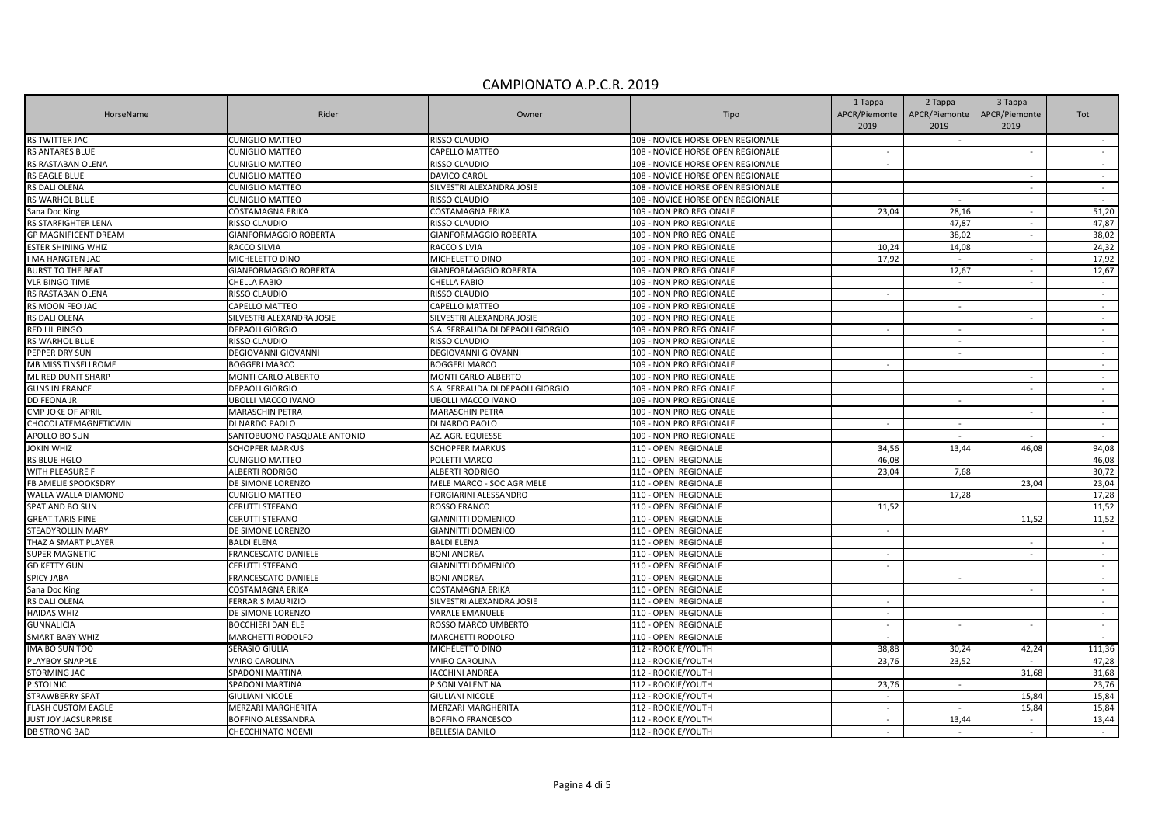|                             |                             |                                  |                                                    | 1 Tappa       | 2 Tappa       | 3 Tappa        |        |
|-----------------------------|-----------------------------|----------------------------------|----------------------------------------------------|---------------|---------------|----------------|--------|
| HorseName                   | Rider                       | Owner                            | Tipo                                               | APCR/Piemonte | APCR/Piemonte | APCR/Piemonte  | Tot    |
|                             |                             |                                  |                                                    | 2019          | 2019          | 2019           |        |
| RS TWITTER JAC              | CUNIGLIO MATTEO             | RISSO CLAUDIO                    | 108 - NOVICE HORSE OPEN REGIONALE                  |               |               |                | $\sim$ |
| <b>RS ANTARES BLUE</b>      | <b>CUNIGLIO MATTEO</b>      | CAPELLO MATTEO                   | 108 - NOVICE HORSE OPEN REGIONALE                  | $\sim$        |               |                | $\sim$ |
| RS RASTABAN OLENA           | CUNIGLIO MATTEO             | RISSO CLAUDIO                    | 108 - NOVICE HORSE OPEN REGIONALE                  | $\sim$        |               |                | $\sim$ |
| RS EAGLE BLUE               | CUNIGLIO MATTEO             | DAVICO CAROL                     | 108 - NOVICE HORSE OPEN REGIONALE                  |               |               |                | $\sim$ |
| RS DALI OLENA               | CUNIGLIO MATTEO             | SILVESTRI ALEXANDRA JOSIE        | 108 - NOVICE HORSE OPEN REGIONALE                  |               |               |                | $\sim$ |
| RS WARHOL BLUE              | CUNIGLIO MATTEO             | RISSO CLAUDIO                    | 108 - NOVICE HORSE OPEN REGIONALE                  |               | $\sim$        |                | $\sim$ |
| Sana Doc King               | COSTAMAGNA ERIKA            | COSTAMAGNA ERIKA                 | 109 - NON PRO REGIONALE                            | 23,04         | 28,16         |                | 51,20  |
| RS STARFIGHTER LENA         | RISSO CLAUDIO               | RISSO CLAUDIO                    | 109 - NON PRO REGIONALE                            |               | 47,87         | $\sim$         | 47,87  |
| <b>GP MAGNIFICENT DREAM</b> | GIANFORMAGGIO ROBERTA       | GIANFORMAGGIO ROBERTA            | 109 - NON PRO REGIONALE                            |               | 38,02         |                | 38,02  |
| <b>ESTER SHINING WHIZ</b>   | RACCO SILVIA                | RACCO SILVIA                     | 109 - NON PRO REGIONALE                            | 10,24         | 14,08         |                | 24,32  |
| I MA HANGTEN JAC            | MICHELETTO DINO             | MICHELETTO DINO                  | 109 - NON PRO REGIONALE                            | 17,92         | $\sim$        | $\blacksquare$ | 17,92  |
| <b>BURST TO THE BEAT</b>    | GIANFORMAGGIO ROBERTA       | GIANFORMAGGIO ROBERTA            | 109 - NON PRO REGIONALE                            |               | 12,67         |                | 12,67  |
| <b>VLR BINGO TIME</b>       | CHELLA FABIO                | CHELLA FABIO                     | 109 - NON PRO REGIONALE                            |               | $\sim$        | $\mathbf{r}$   | $\sim$ |
| RS RASTABAN OLENA           | RISSO CLAUDIO               | RISSO CLAUDIO                    | 109 - NON PRO REGIONALE                            | $\sim$        |               |                | $\sim$ |
| RS MOON FEO JAC             | CAPELLO MATTEO              | CAPELLO MATTEO                   | 109 - NON PRO REGIONALE                            |               | $\sim$        |                | $\sim$ |
| RS DALI OLENA               | SILVESTRI ALEXANDRA JOSIE   | SILVESTRI ALEXANDRA JOSIE        | 109 - NON PRO REGIONALE                            |               |               |                | $\sim$ |
| RED LIL BINGO               | <b>DEPAOLI GIORGIO</b>      | S.A. SERRAUDA DI DEPAOLI GIORGIO |                                                    | $\sim$        | $\sim$        |                | $\sim$ |
| RS WARHOL BLUE              | RISSO CLAUDIO               | RISSO CLAUDIO                    | 109 - NON PRO REGIONALE<br>109 - NON PRO REGIONALE |               | $\sim$        |                | $\sim$ |
| PEPPER DRY SUN              | DEGIOVANNI GIOVANNI         | DEGIOVANNI GIOVANNI              | 109 - NON PRO REGIONALE                            |               | $\mathcal{L}$ |                | $\sim$ |
|                             |                             |                                  |                                                    |               |               |                | $\sim$ |
| MB MISS TINSELLROME         | <b>BOGGERI MARCO</b>        | <b>BOGGERI MARCO</b>             | 109 - NON PRO REGIONALE                            | $\sim$        |               |                |        |
| ML RED DUNIT SHARP          | MONTI CARLO ALBERTO         | MONTI CARLO ALBERTO              | 109 - NON PRO REGIONALE                            |               |               |                | $\sim$ |
| <b>GUNS IN FRANCE</b>       | DEPAOLI GIORGIO             | S.A. SERRAUDA DI DEPAOLI GIORGIO | 109 - NON PRO REGIONALE                            |               |               | $\sim$         | $\sim$ |
| <b>DD FEONA JR</b>          | <b>JBOLLI MACCO IVANO</b>   | UBOLLI MACCO IVANO               | 109 - NON PRO REGIONALE                            |               |               |                | $\sim$ |
| CMP JOKE OF APRIL           | MARASCHIN PETRA             | <b>MARASCHIN PETRA</b>           | 109 - NON PRO REGIONALE                            |               |               | $\sim$         | $\sim$ |
| CHOCOLATEMAGNETICWIN        | DI NARDO PAOLO              | DI NARDO PAOLO                   | 109 - NON PRO REGIONALE                            | $\sim$        | $\sim$        |                | $\sim$ |
| APOLLO BO SUN               | SANTOBUONO PASQUALE ANTONIO | AZ. AGR. EQUIESSE                | 109 - NON PRO REGIONALE                            |               |               |                | $\sim$ |
| <b>JOKIN WHIZ</b>           | <b>SCHOPFER MARKUS</b>      | <b>SCHOPFER MARKUS</b>           | 110 - OPEN REGIONALE                               | 34,56         | 13,44         | 46,08          | 94,08  |
| RS BLUE HGLO                | <b>CUNIGLIO MATTEO</b>      | POLETTI MARCO                    | 110 - OPEN REGIONALE                               | 46,08         |               |                | 46,08  |
| WITH PLEASURE F             | ALBERTI RODRIGO             | ALBERTI RODRIGO                  | 110 - OPEN REGIONALE                               | 23.04         | 7,68          |                | 30,72  |
| <b>FB AMELIE SPOOKSDRY</b>  | DE SIMONE LORENZO           | MELE MARCO - SOC AGR MELE        | 110 - OPEN REGIONALE                               |               |               | 23,04          | 23,04  |
| WALLA WALLA DIAMOND         | <b>CUNIGLIO MATTEO</b>      | FORGIARINI ALESSANDRO            | 110 - OPEN REGIONALE                               |               | 17,28         |                | 17,28  |
| SPAT AND BO SUN             | CERUTTI STEFANO             | ROSSO FRANCO                     | 110 - OPEN REGIONALE                               | 11.52         |               |                | 11,52  |
| <b>GREAT TARIS PINE</b>     | CERUTTI STEFANO             | GIANNITTI DOMENICO               | 110 - OPEN REGIONALE                               |               |               | 11,52          | 11,52  |
| STEADYROLLIN MARY           | DE SIMONE LORENZO           | GIANNITTI DOMENICO               | 110 - OPEN REGIONALE                               | $\sim$        |               |                | $\sim$ |
| THAZ A SMART PLAYER         | <b>BALDI ELENA</b>          | <b>BALDI ELENA</b>               | 110 - OPEN REGIONALE                               |               |               | $\sim$         | $\sim$ |
| SUPER MAGNETIC              | FRANCESCATO DANIELE         | <b>BONI ANDREA</b>               | 110 - OPEN REGIONALE                               | $\sim$        |               | $\sim$         | $\sim$ |
| <b>GD KETTY GUN</b>         | CERUTTI STEFANO             | GIANNITTI DOMENICO               | 110 - OPEN REGIONALE                               | $\sim$        |               |                | $\sim$ |
| <b>SPICY JABA</b>           | FRANCESCATO DANIELE         | <b>BONI ANDREA</b>               | 110 - OPEN REGIONALE                               |               | $\sim$        |                | $\sim$ |
| Sana Doc King               | COSTAMAGNA ERIKA            | COSTAMAGNA ERIKA                 | 110 - OPEN REGIONALE                               |               |               | $\sim$         | $\sim$ |
| RS DALI OLENA               | <b>ERRARIS MAURIZIO</b>     | SILVESTRI ALEXANDRA JOSIE        | 110 - OPEN REGIONALE                               | $\sim$        |               |                | $\sim$ |
| <b>HAIDAS WHIZ</b>          | DE SIMONE LORENZO           | VARALE EMANUELE                  | 110 - OPEN REGIONALE                               | $\sim$        |               |                | $\sim$ |
| <b>GUNNALICIA</b>           | <b>BOCCHIERI DANIELE</b>    | ROSSO MARCO UMBERTO              | 110 - OPEN REGIONALE                               | $\sim$        | $\sim$        | $\sim$         | $\sim$ |
| SMART BABY WHIZ             | MARCHETTI RODOLFO           | <b>MARCHETTI RODOLFO</b>         | 110 - OPEN REGIONALE                               | $\sim$        |               |                | $\sim$ |
| IMA BO SUN TOO              | SERASIO GIULIA              | MICHELETTO DINO                  | 112 - ROOKIE/YOUTH                                 | 38,88         | 30,24         | 42,24          | 111,36 |
| PLAYBOY SNAPPLE             | VAIRO CAROLINA              | VAIRO CAROLINA                   | 112 - ROOKIE/YOUTH                                 | 23,76         | 23,52         |                | 47,28  |
| STORMING JAC                | SPADONI MARTINA             | <b>IACCHINI ANDREA</b>           | 112 - ROOKIE/YOUTH                                 |               |               | 31,68          | 31,68  |
| <b>PISTOLNIC</b>            | SPADONI MARTINA             | PISONI VALENTINA                 | 112 - ROOKIE/YOUTH                                 | 23,76         | $\sim$        |                | 23,76  |
| STRAWBERRY SPAT             | GIULIANI NICOLE             | GIULIANI NICOLE                  | 112 - ROOKIE/YOUTH                                 | $\sim$        |               | 15,84          | 15,84  |
| <b>FLASH CUSTOM EAGLE</b>   | MERZARI MARGHERITA          | MERZARI MARGHERITA               | 112 - ROOKIE/YOUTH                                 | $\sim$        |               | 15,84          | 15,84  |
| JUST JOY JACSURPRISE        | BOFFINO ALESSANDRA          | BOFFINO FRANCESCO                | 112 - ROOKIE/YOUTH                                 | $\sim$        | 13,44         | $\sim$         | 13,44  |
| <b>DB STRONG BAD</b>        | CHECCHINATO NOEMI           | <b>BELLESIA DANILO</b>           | 112 - ROOKIE/YOUTH                                 |               | $\sim$        | $\sim$         | $\sim$ |